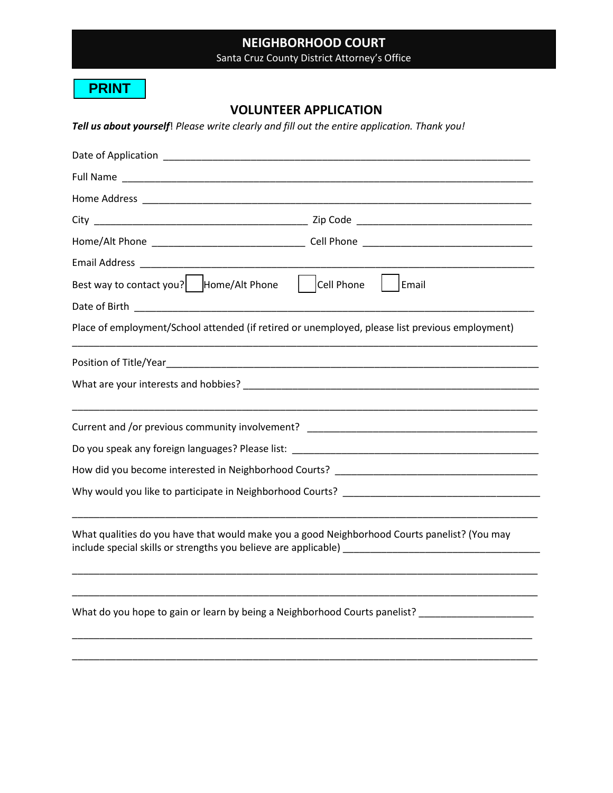# **NEIGHBORHOOD COURT**

Santa Cruz County District Attorney's Office

#### **PRINT**

## **VOLUNTEER APPLICATION**

*Tell us about yourself*! *Please write clearly and fill out the entire application. Thank you!*

| Date of Application _____________                                                                                                                                                                                                  |                                                                                                                      |                                                                            |
|------------------------------------------------------------------------------------------------------------------------------------------------------------------------------------------------------------------------------------|----------------------------------------------------------------------------------------------------------------------|----------------------------------------------------------------------------|
|                                                                                                                                                                                                                                    |                                                                                                                      |                                                                            |
|                                                                                                                                                                                                                                    |                                                                                                                      |                                                                            |
|                                                                                                                                                                                                                                    |                                                                                                                      |                                                                            |
|                                                                                                                                                                                                                                    |                                                                                                                      |                                                                            |
|                                                                                                                                                                                                                                    |                                                                                                                      |                                                                            |
| Best way to contact you?   Home/Alt Phone                                                                                                                                                                                          | Cell Phone                                                                                                           | Email                                                                      |
| Date of Birth <b>Exercise 2018 Contract Contract Contract Contract Contract Contract Contract Contract Contract Contract Contract Contract Contract Contract Contract Contract Contract Contract Contract Contract Contract Co</b> |                                                                                                                      |                                                                            |
| Place of employment/School attended (if retired or unemployed, please list previous employment)                                                                                                                                    |                                                                                                                      |                                                                            |
| Position of Title/Year_                                                                                                                                                                                                            | <u> 2000 - Jan James James James James James James James James James James James James James James James James J</u> |                                                                            |
|                                                                                                                                                                                                                                    |                                                                                                                      |                                                                            |
| Current and /or previous community involvement? ________________________________                                                                                                                                                   |                                                                                                                      |                                                                            |
|                                                                                                                                                                                                                                    |                                                                                                                      |                                                                            |
| How did you become interested in Neighborhood Courts? Letter and the state of the state of the state of the state of                                                                                                               |                                                                                                                      |                                                                            |
|                                                                                                                                                                                                                                    |                                                                                                                      |                                                                            |
| What qualities do you have that would make you a good Neighborhood Courts panelist? (You may                                                                                                                                       |                                                                                                                      |                                                                            |
|                                                                                                                                                                                                                                    |                                                                                                                      | What do you hope to gain or learn by being a Neighborhood Courts panelist? |
|                                                                                                                                                                                                                                    |                                                                                                                      |                                                                            |